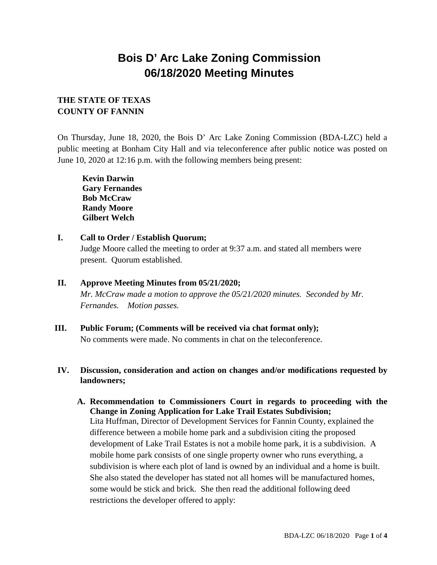# **Bois D' Arc Lake Zoning Commission 06/18/2020 Meeting Minutes**

## **THE STATE OF TEXAS COUNTY OF FANNIN**

On Thursday, June 18, 2020, the Bois D' Arc Lake Zoning Commission (BDA-LZC) held a public meeting at Bonham City Hall and via teleconference after public notice was posted on June 10, 2020 at 12:16 p.m. with the following members being present:

**Kevin Darwin Gary Fernandes Bob McCraw Randy Moore Gilbert Welch**

- **I. Call to Order / Establish Quorum;**  Judge Moore called the meeting to order at 9:37 a.m. and stated all members were present. Quorum established.
- **II. Approve Meeting Minutes from 05/21/2020;** *Mr. McCraw made a motion to approve the 05/21/2020 minutes. Seconded by Mr. Fernandes. Motion passes.*
- **III. Public Forum; (Comments will be received via chat format only);**

No comments were made. No comments in chat on the teleconference.

### **IV. Discussion, consideration and action on changes and/or modifications requested by landowners;**

**A. Recommendation to Commissioners Court in regards to proceeding with the Change in Zoning Application for Lake Trail Estates Subdivision;**  Lita Huffman, Director of Development Services for Fannin County, explained the difference between a mobile home park and a subdivision citing the proposed development of Lake Trail Estates is not a mobile home park, it is a subdivision. A mobile home park consists of one single property owner who runs everything, a subdivision is where each plot of land is owned by an individual and a home is built. She also stated the developer has stated not all homes will be manufactured homes, some would be stick and brick. She then read the additional following deed restrictions the developer offered to apply: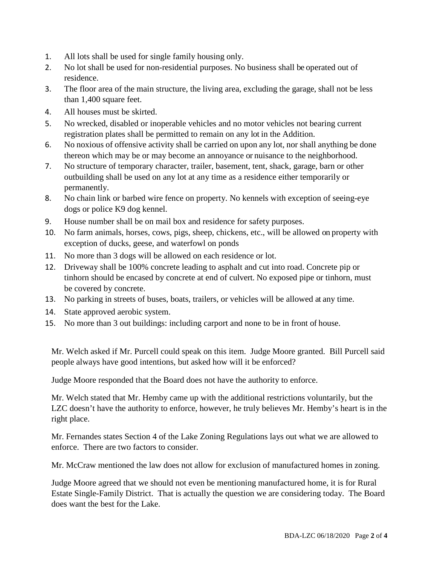- 1. All lots shall be used for single family housing only.
- 2. No lot shall be used for non-residential purposes. No business shall be operated out of residence.
- 3. The floor area of the main structure, the living area, excluding the garage, shall not be less than 1,400 square feet.
- 4. All houses must be skirted.
- 5. No wrecked, disabled or inoperable vehicles and no motor vehicles not bearing current registration plates shall be permitted to remain on any lot in the Addition.
- 6. No noxious of offensive activity shall be carried on upon any lot, nor shall anything be done thereon which may be or may become an annoyance or nuisance to the neighborhood.
- 7. No structure of temporary character, trailer, basement, tent, shack, garage, barn or other outbuilding shall be used on any lot at any time as a residence either temporarily or permanently.
- 8. No chain link or barbed wire fence on property. No kennels with exception of seeing-eye dogs or police K9 dog kennel.
- 9. House number shall be on mail box and residence for safety purposes.
- 10. No farm animals, horses, cows, pigs, sheep, chickens, etc., will be allowed on property with exception of ducks, geese, and waterfowl on ponds
- 11. No more than 3 dogs will be allowed on each residence or lot.
- 12. Driveway shall be 100% concrete leading to asphalt and cut into road. Concrete pip or tinhorn should be encased by concrete at end of culvert. No exposed pipe or tinhorn, must be covered by concrete.
- 13. No parking in streets of buses, boats, trailers, or vehicles will be allowed at any time.
- 14. State approved aerobic system.
- 15. No more than 3 out buildings: including carport and none to be in front of house.

Mr. Welch asked if Mr. Purcell could speak on this item. Judge Moore granted. Bill Purcell said people always have good intentions, but asked how will it be enforced?

Judge Moore responded that the Board does not have the authority to enforce.

Mr. Welch stated that Mr. Hemby came up with the additional restrictions voluntarily, but the LZC doesn't have the authority to enforce, however, he truly believes Mr. Hemby's heart is in the right place.

Mr. Fernandes states Section 4 of the Lake Zoning Regulations lays out what we are allowed to enforce. There are two factors to consider.

Mr. McCraw mentioned the law does not allow for exclusion of manufactured homes in zoning.

Judge Moore agreed that we should not even be mentioning manufactured home, it is for Rural Estate Single-Family District. That is actually the question we are considering today. The Board does want the best for the Lake.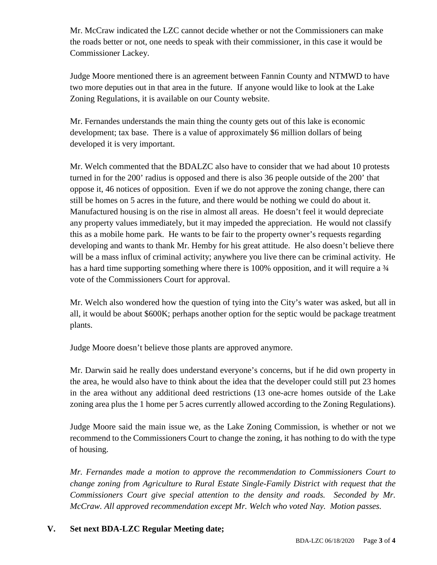Mr. McCraw indicated the LZC cannot decide whether or not the Commissioners can make the roads better or not, one needs to speak with their commissioner, in this case it would be Commissioner Lackey.

Judge Moore mentioned there is an agreement between Fannin County and NTMWD to have two more deputies out in that area in the future. If anyone would like to look at the Lake Zoning Regulations, it is available on our County website.

Mr. Fernandes understands the main thing the county gets out of this lake is economic development; tax base. There is a value of approximately \$6 million dollars of being developed it is very important.

Mr. Welch commented that the BDALZC also have to consider that we had about 10 protests turned in for the 200' radius is opposed and there is also 36 people outside of the 200' that oppose it, 46 notices of opposition. Even if we do not approve the zoning change, there can still be homes on 5 acres in the future, and there would be nothing we could do about it. Manufactured housing is on the rise in almost all areas. He doesn't feel it would depreciate any property values immediately, but it may impeded the appreciation. He would not classify this as a mobile home park. He wants to be fair to the property owner's requests regarding developing and wants to thank Mr. Hemby for his great attitude. He also doesn't believe there will be a mass influx of criminal activity; anywhere you live there can be criminal activity. He has a hard time supporting something where there is 100% opposition, and it will require a  $\frac{3}{4}$ vote of the Commissioners Court for approval.

Mr. Welch also wondered how the question of tying into the City's water was asked, but all in all, it would be about \$600K; perhaps another option for the septic would be package treatment plants.

Judge Moore doesn't believe those plants are approved anymore.

Mr. Darwin said he really does understand everyone's concerns, but if he did own property in the area, he would also have to think about the idea that the developer could still put 23 homes in the area without any additional deed restrictions (13 one-acre homes outside of the Lake zoning area plus the 1 home per 5 acres currently allowed according to the Zoning Regulations).

Judge Moore said the main issue we, as the Lake Zoning Commission, is whether or not we recommend to the Commissioners Court to change the zoning, it has nothing to do with the type of housing.

*Mr. Fernandes made a motion to approve the recommendation to Commissioners Court to change zoning from Agriculture to Rural Estate Single-Family District with request that the Commissioners Court give special attention to the density and roads. Seconded by Mr. McCraw. All approved recommendation except Mr. Welch who voted Nay. Motion passes.*

### **V. Set next BDA-LZC Regular Meeting date;**